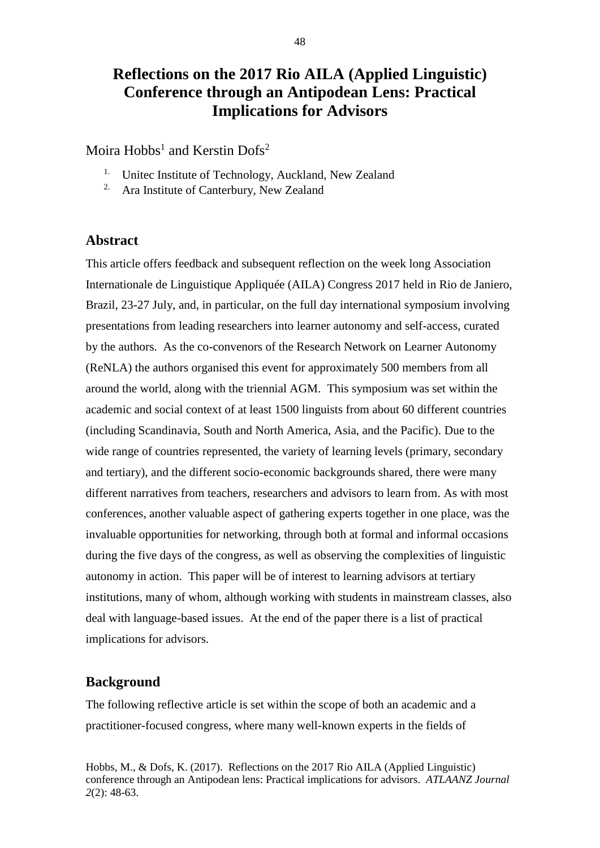# **Reflections on the 2017 Rio AILA (Applied Linguistic) Conference through an Antipodean Lens: Practical Implications for Advisors**

Moira Hobbs<sup>1</sup> and Kerstin Dofs<sup>2</sup>

- <sup>1.</sup> Unitec Institute of Technology, Auckland, New Zealand
- <sup>2.</sup> Ara Institute of Canterbury, New Zealand

## **Abstract**

This article offers feedback and subsequent reflection on the week long Association Internationale de Linguistique Appliquée (AILA) Congress 2017 held in Rio de Janiero, Brazil, 23-27 July, and, in particular, on the full day international symposium involving presentations from leading researchers into learner autonomy and self-access, curated by the authors. As the co-convenors of the Research Network on Learner Autonomy (ReNLA) the authors organised this event for approximately 500 members from all around the world, along with the triennial AGM. This symposium was set within the academic and social context of at least 1500 linguists from about 60 different countries (including Scandinavia, South and North America, Asia, and the Pacific). Due to the wide range of countries represented, the variety of learning levels (primary, secondary and tertiary), and the different socio-economic backgrounds shared, there were many different narratives from teachers, researchers and advisors to learn from. As with most conferences, another valuable aspect of gathering experts together in one place, was the invaluable opportunities for networking, through both at formal and informal occasions during the five days of the congress, as well as observing the complexities of linguistic autonomy in action. This paper will be of interest to learning advisors at tertiary institutions, many of whom, although working with students in mainstream classes, also deal with language-based issues. At the end of the paper there is a list of practical implications for advisors.

#### **Background**

The following reflective article is set within the scope of both an academic and a practitioner-focused congress, where many well-known experts in the fields of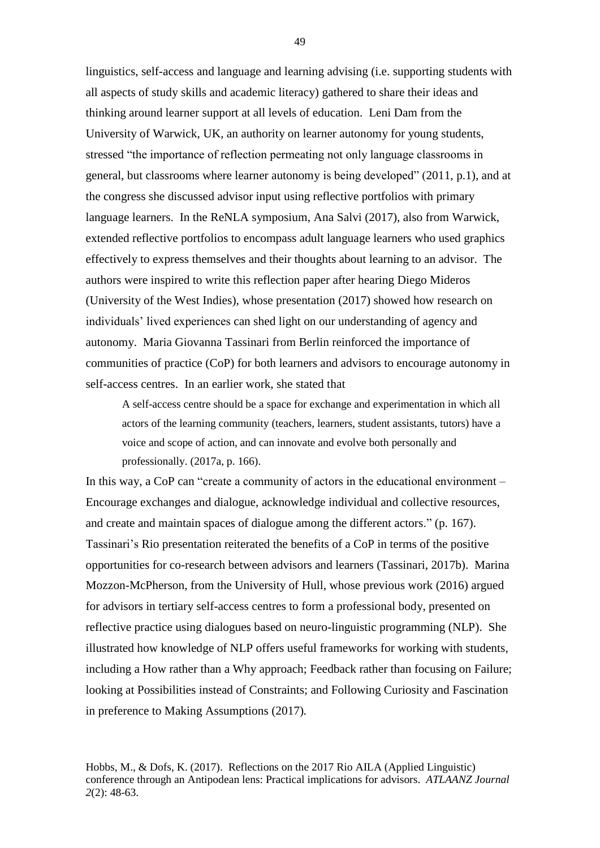linguistics, self-access and language and learning advising (i.e. supporting students with all aspects of study skills and academic literacy) gathered to share their ideas and thinking around learner support at all levels of education. Leni Dam from the University of Warwick, UK, an authority on learner autonomy for young students, stressed "the importance of reflection permeating not only language classrooms in general, but classrooms where learner autonomy is being developed" (2011, p.1), and at the congress she discussed advisor input using reflective portfolios with primary language learners. In the ReNLA symposium, Ana Salvi (2017), also from Warwick, extended reflective portfolios to encompass adult language learners who used graphics effectively to express themselves and their thoughts about learning to an advisor. The authors were inspired to write this reflection paper after hearing Diego Mideros (University of the West Indies), whose presentation (2017) showed how research on individuals' lived experiences can shed light on our understanding of agency and autonomy. Maria Giovanna Tassinari from Berlin reinforced the importance of communities of practice (CoP) for both learners and advisors to encourage autonomy in self-access centres. In an earlier work, she stated that

A self-access centre should be a space for exchange and experimentation in which all actors of the learning community (teachers, learners, student assistants, tutors) have a voice and scope of action, and can innovate and evolve both personally and professionally. (2017a, p. 166).

In this way, a CoP can "create a community of actors in the educational environment – Encourage exchanges and dialogue, acknowledge individual and collective resources, and create and maintain spaces of dialogue among the different actors." (p. 167). Tassinari's Rio presentation reiterated the benefits of a CoP in terms of the positive opportunities for co-research between advisors and learners (Tassinari, 2017b). Marina Mozzon-McPherson, from the University of Hull, whose previous work (2016) argued for advisors in tertiary self-access centres to form a professional body, presented on reflective practice using dialogues based on neuro-linguistic programming (NLP). She illustrated how knowledge of NLP offers useful frameworks for working with students, including a How rather than a Why approach; Feedback rather than focusing on Failure; looking at Possibilities instead of Constraints; and Following Curiosity and Fascination in preference to Making Assumptions (2017)*.*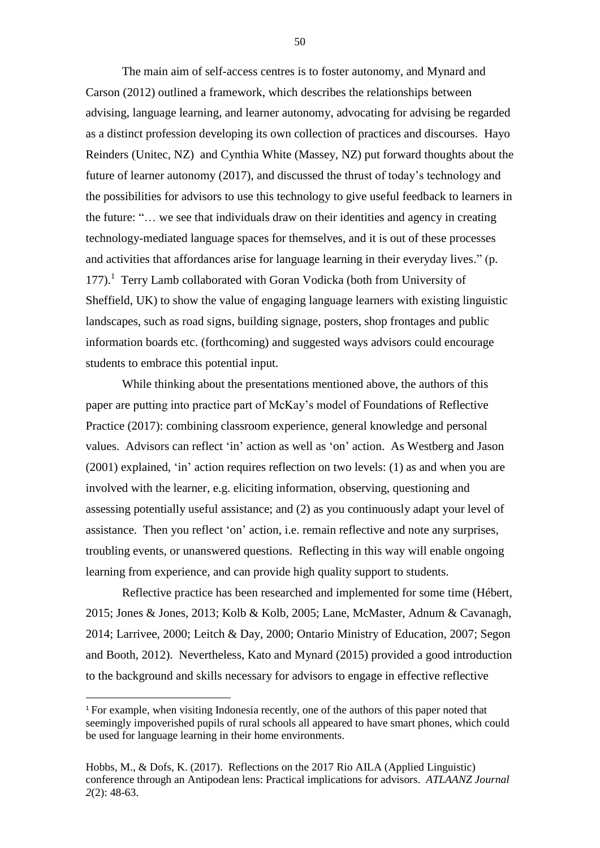The main aim of self-access centres is to foster autonomy, and Mynard and Carson (2012) outlined a framework, which describes the relationships between advising, language learning, and learner autonomy, advocating for advising be regarded as a distinct profession developing its own collection of practices and discourses. Hayo Reinders (Unitec, NZ) and Cynthia White (Massey, NZ) put forward thoughts about the future of learner autonomy (2017), and discussed the thrust of today's technology and the possibilities for advisors to use this technology to give useful feedback to learners in the future: "… we see that individuals draw on their identities and agency in creating technology-mediated language spaces for themselves, and it is out of these processes and activities that affordances arise for language learning in their everyday lives." (p.  $177$ ).<sup>1</sup> Terry Lamb collaborated with Goran Vodicka (both from University of Sheffield, UK) to show the value of engaging language learners with existing linguistic landscapes, such as road signs, building signage, posters, shop frontages and public information boards etc. (forthcoming) and suggested ways advisors could encourage students to embrace this potential input.

While thinking about the presentations mentioned above, the authors of this paper are putting into practice part of McKay's model of Foundations of Reflective Practice (2017): combining classroom experience, general knowledge and personal values. Advisors can reflect 'in' action as well as 'on' action. As Westberg and Jason (2001) explained, 'in' action requires reflection on two levels: (1) as and when you are involved with the learner, e.g. eliciting information, observing, questioning and assessing potentially useful assistance; and (2) as you continuously adapt your level of assistance. Then you reflect 'on' action, i.e. remain reflective and note any surprises, troubling events, or unanswered questions. Reflecting in this way will enable ongoing learning from experience, and can provide high quality support to students.

Reflective practice has been researched and implemented for some time (Hébert, 2015; Jones & Jones, 2013; Kolb & Kolb, 2005; Lane, McMaster, Adnum & Cavanagh, 2014; Larrivee, 2000; Leitch & Day, 2000; Ontario Ministry of Education, 2007; Segon and Booth, 2012). Nevertheless, Kato and Mynard (2015) provided a good introduction to the background and skills necessary for advisors to engage in effective reflective

**.** 

<sup>&</sup>lt;sup>1</sup> For example, when visiting Indonesia recently, one of the authors of this paper noted that seemingly impoverished pupils of rural schools all appeared to have smart phones, which could be used for language learning in their home environments.

Hobbs, M., & Dofs, K. (2017). Reflections on the 2017 Rio AILA (Applied Linguistic) conference through an Antipodean lens: Practical implications for advisors. *ATLAANZ Journal 2*(2): 48-63.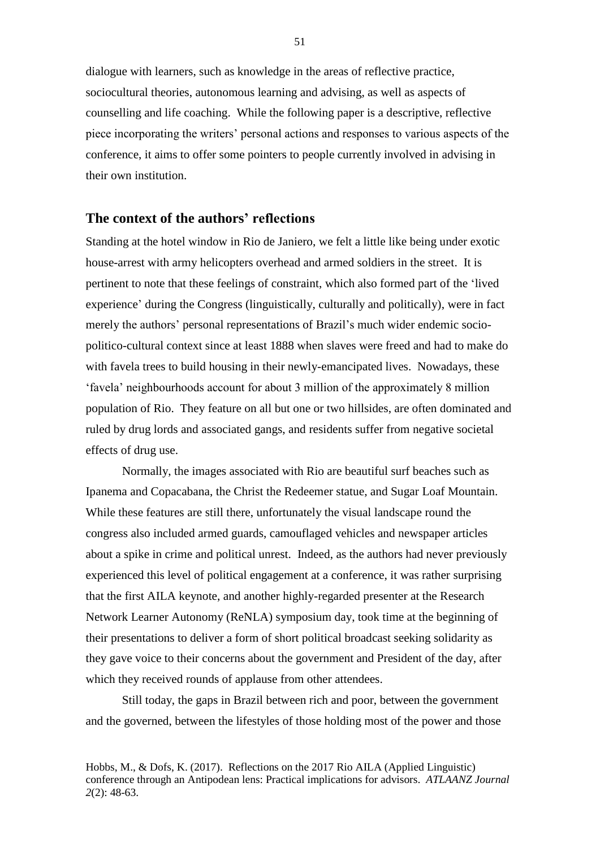dialogue with learners, such as knowledge in the areas of reflective practice, sociocultural theories, autonomous learning and advising, as well as aspects of counselling and life coaching. While the following paper is a descriptive, reflective piece incorporating the writers' personal actions and responses to various aspects of the conference, it aims to offer some pointers to people currently involved in advising in their own institution.

#### **The context of the authors' reflections**

Standing at the hotel window in Rio de Janiero, we felt a little like being under exotic house-arrest with army helicopters overhead and armed soldiers in the street. It is pertinent to note that these feelings of constraint, which also formed part of the 'lived experience' during the Congress (linguistically, culturally and politically), were in fact merely the authors' personal representations of Brazil's much wider endemic sociopolitico-cultural context since at least 1888 when slaves were freed and had to make do with favela trees to build housing in their newly-emancipated lives. Nowadays, these 'favela' neighbourhoods account for about 3 million of the approximately 8 million population of Rio. They feature on all but one or two hillsides, are often dominated and ruled by drug lords and associated gangs, and residents suffer from negative societal effects of drug use.

Normally, the images associated with Rio are beautiful surf beaches such as Ipanema and Copacabana, the Christ the Redeemer statue, and Sugar Loaf Mountain. While these features are still there, unfortunately the visual landscape round the congress also included armed guards, camouflaged vehicles and newspaper articles about a spike in crime and political unrest. Indeed, as the authors had never previously experienced this level of political engagement at a conference, it was rather surprising that the first AILA keynote, and another highly-regarded presenter at the Research Network Learner Autonomy (ReNLA) symposium day, took time at the beginning of their presentations to deliver a form of short political broadcast seeking solidarity as they gave voice to their concerns about the government and President of the day, after which they received rounds of applause from other attendees.

Still today, the gaps in Brazil between rich and poor, between the government and the governed, between the lifestyles of those holding most of the power and those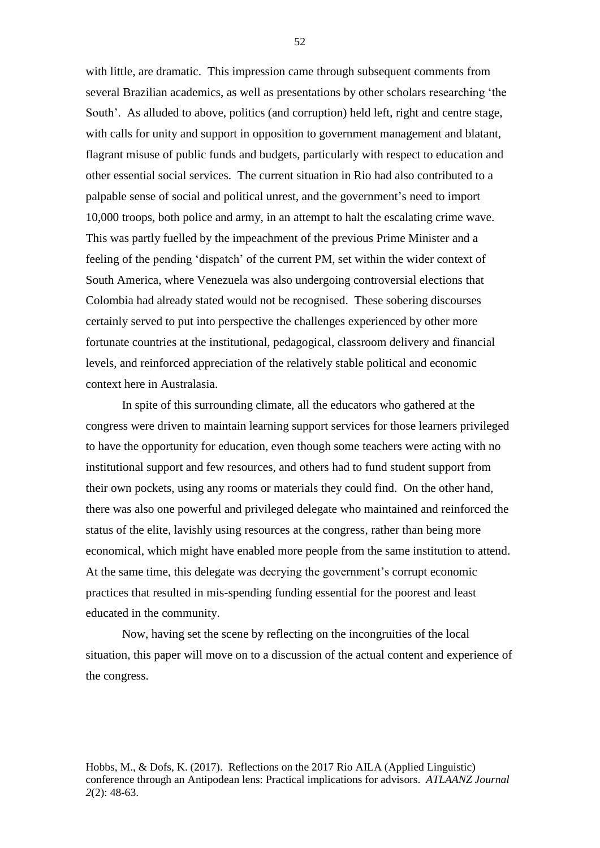with little, are dramatic. This impression came through subsequent comments from several Brazilian academics, as well as presentations by other scholars researching 'the South'. As alluded to above, politics (and corruption) held left, right and centre stage, with calls for unity and support in opposition to government management and blatant, flagrant misuse of public funds and budgets, particularly with respect to education and other essential social services. The current situation in Rio had also contributed to a palpable sense of social and political unrest, and the government's need to import 10,000 troops, both police and army, in an attempt to halt the escalating crime wave. This was partly fuelled by the impeachment of the previous Prime Minister and a feeling of the pending 'dispatch' of the current PM, set within the wider context of South America, where Venezuela was also undergoing controversial elections that Colombia had already stated would not be recognised. These sobering discourses certainly served to put into perspective the challenges experienced by other more fortunate countries at the institutional, pedagogical, classroom delivery and financial levels, and reinforced appreciation of the relatively stable political and economic context here in Australasia.

In spite of this surrounding climate, all the educators who gathered at the congress were driven to maintain learning support services for those learners privileged to have the opportunity for education, even though some teachers were acting with no institutional support and few resources, and others had to fund student support from their own pockets, using any rooms or materials they could find. On the other hand, there was also one powerful and privileged delegate who maintained and reinforced the status of the elite, lavishly using resources at the congress, rather than being more economical, which might have enabled more people from the same institution to attend. At the same time, this delegate was decrying the government's corrupt economic practices that resulted in mis-spending funding essential for the poorest and least educated in the community.

Now, having set the scene by reflecting on the incongruities of the local situation, this paper will move on to a discussion of the actual content and experience of the congress.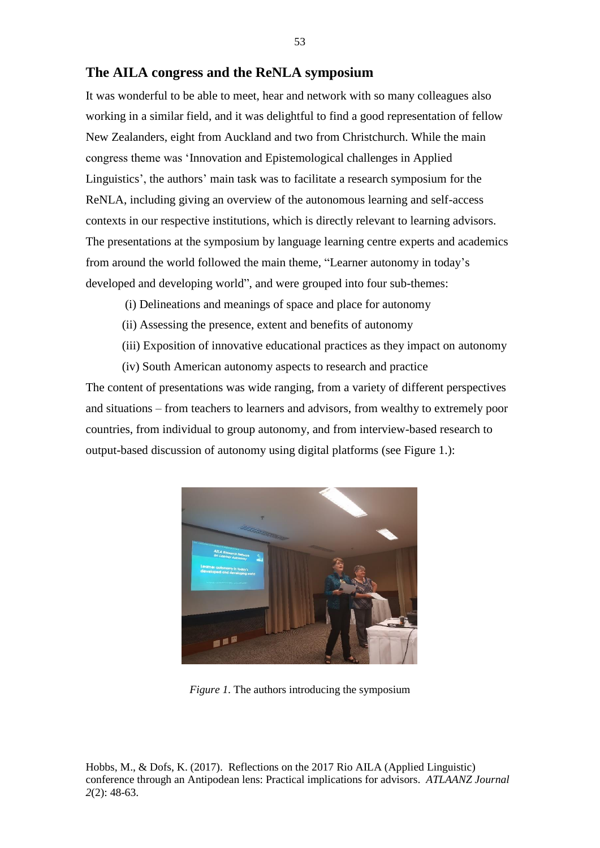#### **The AILA congress and the ReNLA symposium**

It was wonderful to be able to meet, hear and network with so many colleagues also working in a similar field, and it was delightful to find a good representation of fellow New Zealanders, eight from Auckland and two from Christchurch. While the main congress theme was 'Innovation and Epistemological challenges in Applied Linguistics', the authors' main task was to facilitate a research symposium for the ReNLA, including giving an overview of the autonomous learning and self-access contexts in our respective institutions, which is directly relevant to learning advisors. The presentations at the symposium by language learning centre experts and academics from around the world followed the main theme, "Learner autonomy in today's developed and developing world", and were grouped into four sub-themes:

- (i) Delineations and meanings of space and place for autonomy
- (ii) Assessing the presence, extent and benefits of autonomy
- (iii) Exposition of innovative educational practices as they impact on autonomy

(iv) South American autonomy aspects to research and practice The content of presentations was wide ranging, from a variety of different perspectives and situations – from teachers to learners and advisors, from wealthy to extremely poor countries, from individual to group autonomy, and from interview-based research to output-based discussion of autonomy using digital platforms (see Figure 1.):



*Figure 1.* The authors introducing the symposium

Hobbs, M., & Dofs, K. (2017). Reflections on the 2017 Rio AILA (Applied Linguistic) conference through an Antipodean lens: Practical implications for advisors. *ATLAANZ Journal 2*(2): 48-63.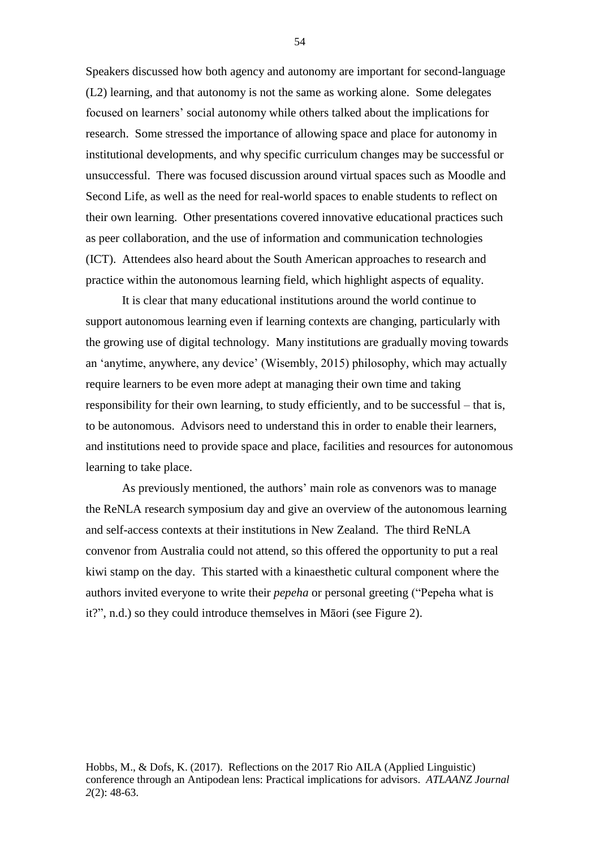Speakers discussed how both agency and autonomy are important for second-language (L2) learning, and that autonomy is not the same as working alone. Some delegates focused on learners' social autonomy while others talked about the implications for research. Some stressed the importance of allowing space and place for autonomy in institutional developments, and why specific curriculum changes may be successful or unsuccessful. There was focused discussion around virtual spaces such as Moodle and Second Life, as well as the need for real-world spaces to enable students to reflect on their own learning. Other presentations covered innovative educational practices such as peer collaboration, and the use of information and communication technologies (ICT). Attendees also heard about the South American approaches to research and practice within the autonomous learning field, which highlight aspects of equality.

It is clear that many educational institutions around the world continue to support autonomous learning even if learning contexts are changing, particularly with the growing use of digital technology. Many institutions are gradually moving towards an 'anytime, anywhere, any device' (Wisembly, 2015) philosophy, which may actually require learners to be even more adept at managing their own time and taking responsibility for their own learning, to study efficiently, and to be successful – that is, to be autonomous. Advisors need to understand this in order to enable their learners, and institutions need to provide space and place, facilities and resources for autonomous learning to take place.

As previously mentioned, the authors' main role as convenors was to manage the ReNLA research symposium day and give an overview of the autonomous learning and self-access contexts at their institutions in New Zealand. The third ReNLA convenor from Australia could not attend, so this offered the opportunity to put a real kiwi stamp on the day. This started with a kinaesthetic cultural component where the authors invited everyone to write their *pepeha* or personal greeting ("Pepeha what is it?", n.d.) so they could introduce themselves in Māori (see Figure 2).

Hobbs, M., & Dofs, K. (2017). Reflections on the 2017 Rio AILA (Applied Linguistic) conference through an Antipodean lens: Practical implications for advisors. *ATLAANZ Journal 2*(2): 48-63.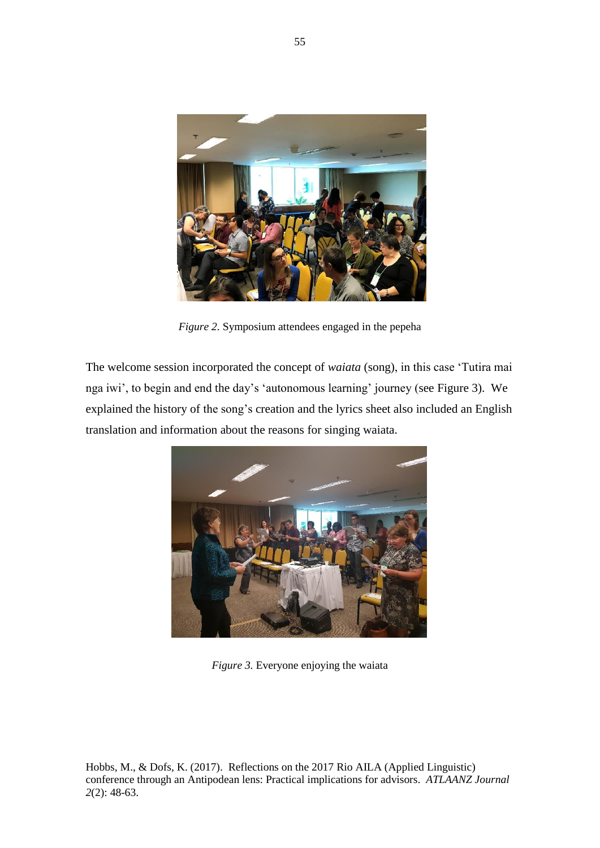

*Figure 2.* Symposium attendees engaged in the pepeha

The welcome session incorporated the concept of *waiata* (song), in this case 'Tutira mai nga iwi', to begin and end the day's 'autonomous learning' journey (see Figure 3). We explained the history of the song's creation and the lyrics sheet also included an English translation and information about the reasons for singing waiata.



*Figure 3.* Everyone enjoying the waiata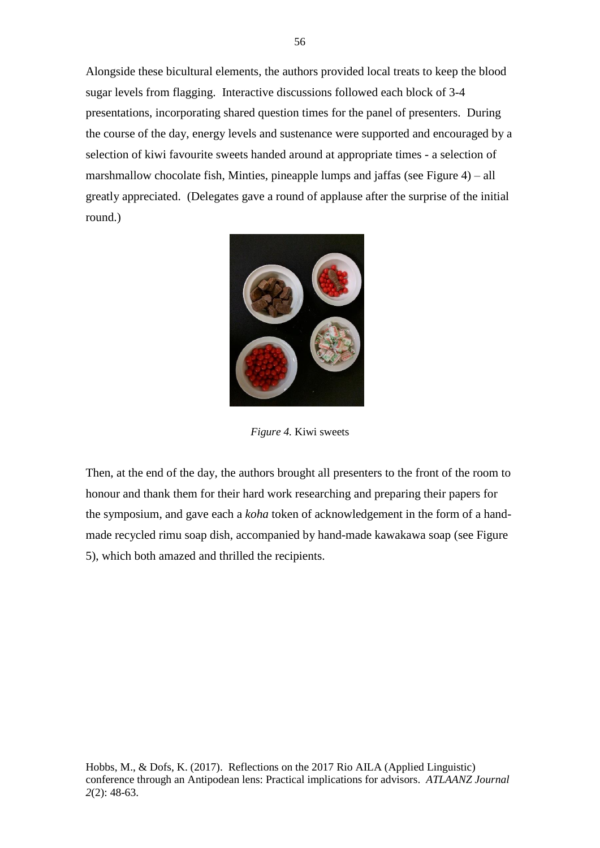Alongside these bicultural elements, the authors provided local treats to keep the blood sugar levels from flagging. Interactive discussions followed each block of 3-4 presentations, incorporating shared question times for the panel of presenters. During the course of the day, energy levels and sustenance were supported and encouraged by a selection of kiwi favourite sweets handed around at appropriate times - a selection of marshmallow chocolate fish, Minties, pineapple lumps and jaffas (see Figure 4) – all greatly appreciated. (Delegates gave a round of applause after the surprise of the initial round.)



*Figure 4.* Kiwi sweets

Then, at the end of the day, the authors brought all presenters to the front of the room to honour and thank them for their hard work researching and preparing their papers for the symposium, and gave each a *koha* token of acknowledgement in the form of a handmade recycled rimu soap dish, accompanied by hand-made kawakawa soap (see Figure 5), which both amazed and thrilled the recipients.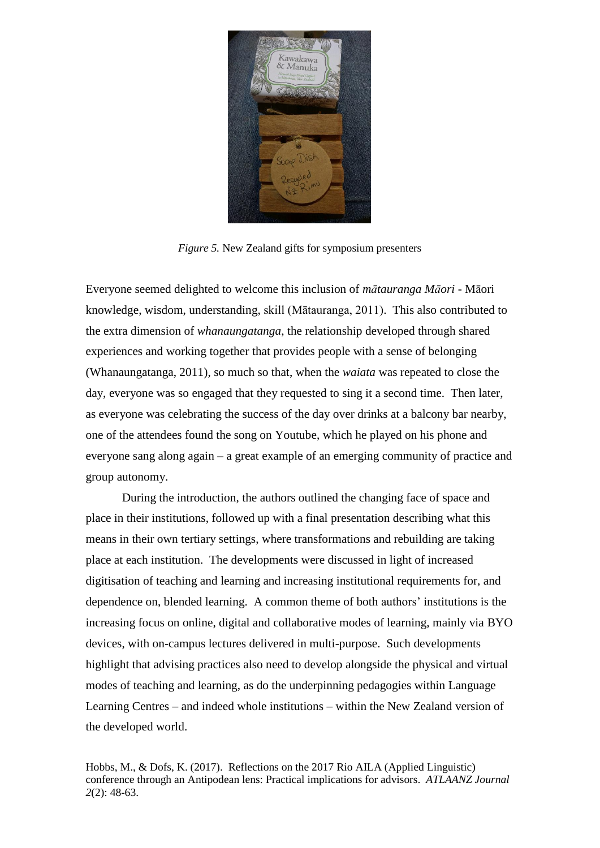

*Figure 5.* New Zealand gifts for symposium presenters

Everyone seemed delighted to welcome this inclusion of *mātauranga Māori* - Māori knowledge, wisdom, understanding, skill (Mātauranga, 2011). This also contributed to the extra dimension of *whanaungatanga*, the relationship developed through shared experiences and working together that provides people with a sense of belonging (Whanaungatanga, 2011), so much so that, when the *waiata* was repeated to close the day, everyone was so engaged that they requested to sing it a second time. Then later, as everyone was celebrating the success of the day over drinks at a balcony bar nearby, one of the attendees found the song on Youtube, which he played on his phone and everyone sang along again – a great example of an emerging community of practice and group autonomy.

During the introduction, the authors outlined the changing face of space and place in their institutions, followed up with a final presentation describing what this means in their own tertiary settings, where transformations and rebuilding are taking place at each institution. The developments were discussed in light of increased digitisation of teaching and learning and increasing institutional requirements for, and dependence on, blended learning. A common theme of both authors' institutions is the increasing focus on online, digital and collaborative modes of learning, mainly via BYO devices, with on-campus lectures delivered in multi-purpose. Such developments highlight that advising practices also need to develop alongside the physical and virtual modes of teaching and learning, as do the underpinning pedagogies within Language Learning Centres – and indeed whole institutions – within the New Zealand version of the developed world.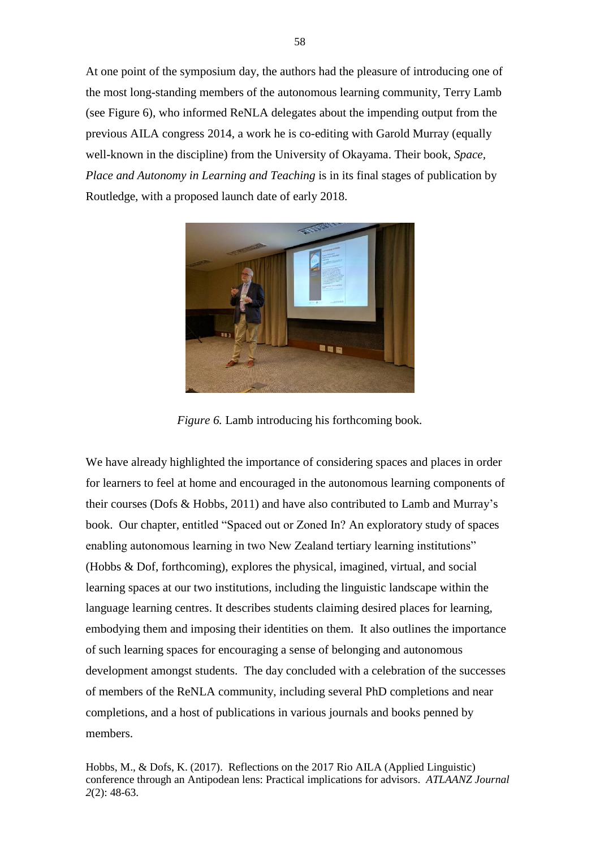At one point of the symposium day, the authors had the pleasure of introducing one of the most long-standing members of the autonomous learning community, Terry Lamb (see Figure 6), who informed ReNLA delegates about the impending output from the previous AILA congress 2014, a work he is co-editing with Garold Murray (equally well-known in the discipline) from the University of Okayama. Their book, *Space, Place and Autonomy in Learning and Teaching* is in its final stages of publication by Routledge, with a proposed launch date of early 2018.



*Figure 6.* Lamb introducing his forthcoming book*.*

We have already highlighted the importance of considering spaces and places in order for learners to feel at home and encouraged in the autonomous learning components of their courses (Dofs & Hobbs, 2011) and have also contributed to Lamb and Murray's book. Our chapter, entitled "Spaced out or Zoned In? An exploratory study of spaces enabling autonomous learning in two New Zealand tertiary learning institutions" (Hobbs & Dof, forthcoming), explores the physical, imagined, virtual, and social learning spaces at our two institutions, including the linguistic landscape within the language learning centres. It describes students claiming desired places for learning, embodying them and imposing their identities on them. It also outlines the importance of such learning spaces for encouraging a sense of belonging and autonomous development amongst students. The day concluded with a celebration of the successes of members of the ReNLA community, including several PhD completions and near completions, and a host of publications in various journals and books penned by members.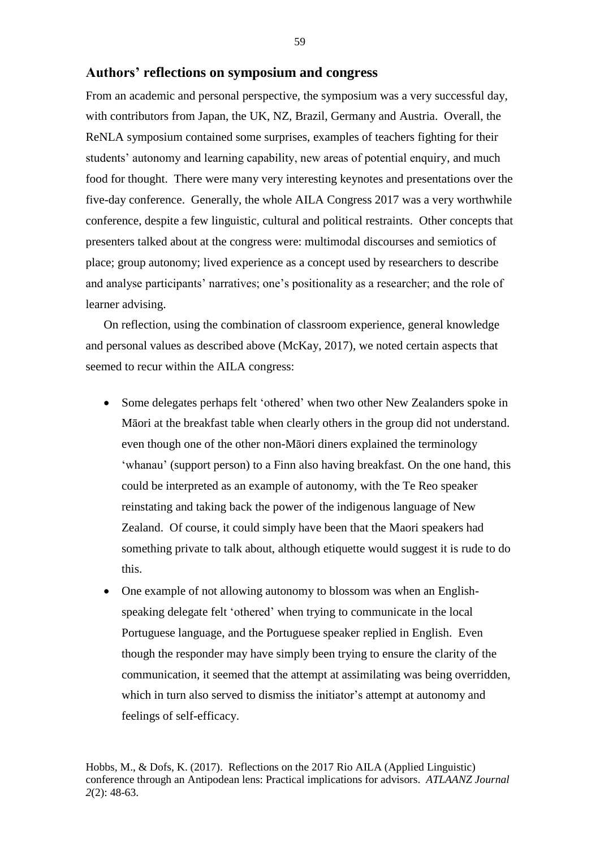#### **Authors' reflections on symposium and congress**

From an academic and personal perspective, the symposium was a very successful day, with contributors from Japan, the UK, NZ, Brazil, Germany and Austria. Overall, the ReNLA symposium contained some surprises, examples of teachers fighting for their students' autonomy and learning capability, new areas of potential enquiry, and much food for thought. There were many very interesting keynotes and presentations over the five-day conference. Generally, the whole AILA Congress 2017 was a very worthwhile conference, despite a few linguistic, cultural and political restraints. Other concepts that presenters talked about at the congress were: multimodal discourses and semiotics of place; group autonomy; lived experience as a concept used by researchers to describe and analyse participants' narratives; one's positionality as a researcher; and the role of learner advising.

On reflection, using the combination of classroom experience, general knowledge and personal values as described above (McKay, 2017), we noted certain aspects that seemed to recur within the AILA congress:

- Some delegates perhaps felt 'othered' when two other New Zealanders spoke in Māori at the breakfast table when clearly others in the group did not understand. even though one of the other non-Māori diners explained the terminology 'whanau' (support person) to a Finn also having breakfast. On the one hand, this could be interpreted as an example of autonomy, with the Te Reo speaker reinstating and taking back the power of the indigenous language of New Zealand. Of course, it could simply have been that the Maori speakers had something private to talk about, although etiquette would suggest it is rude to do this.
- One example of not allowing autonomy to blossom was when an Englishspeaking delegate felt 'othered' when trying to communicate in the local Portuguese language, and the Portuguese speaker replied in English. Even though the responder may have simply been trying to ensure the clarity of the communication, it seemed that the attempt at assimilating was being overridden, which in turn also served to dismiss the initiator's attempt at autonomy and feelings of self-efficacy.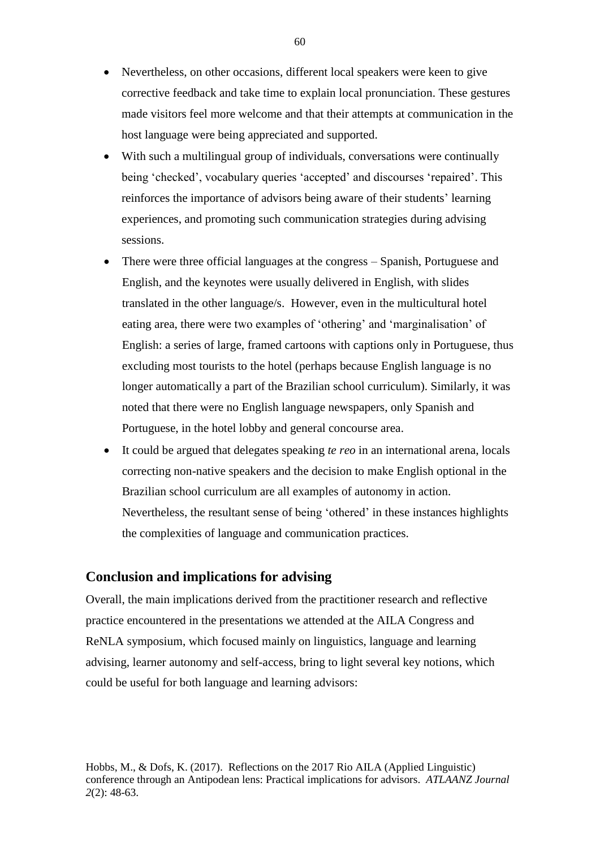- Nevertheless, on other occasions, different local speakers were keen to give corrective feedback and take time to explain local pronunciation. These gestures made visitors feel more welcome and that their attempts at communication in the host language were being appreciated and supported.
- With such a multilingual group of individuals, conversations were continually being 'checked', vocabulary queries 'accepted' and discourses 'repaired'. This reinforces the importance of advisors being aware of their students' learning experiences, and promoting such communication strategies during advising sessions.
- There were three official languages at the congress Spanish, Portuguese and English, and the keynotes were usually delivered in English, with slides translated in the other language/s. However, even in the multicultural hotel eating area, there were two examples of 'othering' and 'marginalisation' of English: a series of large, framed cartoons with captions only in Portuguese, thus excluding most tourists to the hotel (perhaps because English language is no longer automatically a part of the Brazilian school curriculum). Similarly, it was noted that there were no English language newspapers, only Spanish and Portuguese, in the hotel lobby and general concourse area.
- It could be argued that delegates speaking *te reo* in an international arena, locals correcting non-native speakers and the decision to make English optional in the Brazilian school curriculum are all examples of autonomy in action. Nevertheless, the resultant sense of being 'othered' in these instances highlights the complexities of language and communication practices.

# **Conclusion and implications for advising**

Overall, the main implications derived from the practitioner research and reflective practice encountered in the presentations we attended at the AILA Congress and ReNLA symposium, which focused mainly on linguistics, language and learning advising, learner autonomy and self-access, bring to light several key notions, which could be useful for both language and learning advisors: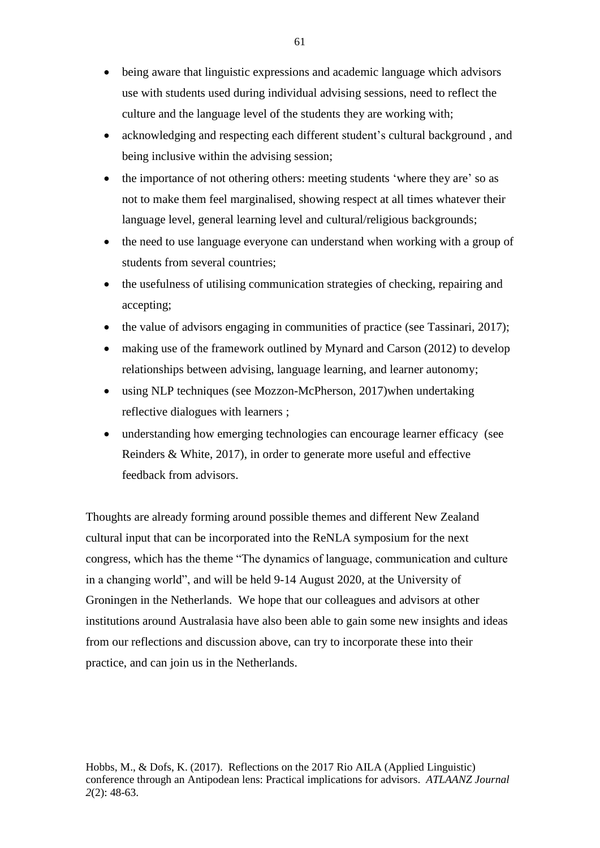- being aware that linguistic expressions and academic language which advisors use with students used during individual advising sessions, need to reflect the culture and the language level of the students they are working with;
- acknowledging and respecting each different student's cultural background , and being inclusive within the advising session;
- the importance of not othering others: meeting students 'where they are' so as not to make them feel marginalised, showing respect at all times whatever their language level, general learning level and cultural/religious backgrounds;
- the need to use language everyone can understand when working with a group of students from several countries;
- the usefulness of utilising communication strategies of checking, repairing and accepting;
- the value of advisors engaging in communities of practice (see Tassinari, 2017);
- making use of the framework outlined by Mynard and Carson (2012) to develop relationships between advising, language learning, and learner autonomy;
- using NLP techniques (see Mozzon-McPherson, 2017)when undertaking reflective dialogues with learners ;
- understanding how emerging technologies can encourage learner efficacy (see Reinders & White, 2017), in order to generate more useful and effective feedback from advisors.

Thoughts are already forming around possible themes and different New Zealand cultural input that can be incorporated into the ReNLA symposium for the next congress, which has the theme "The dynamics of language, communication and culture in a changing world", and will be held 9-14 August 2020, at the University of Groningen in the Netherlands. We hope that our colleagues and advisors at other institutions around Australasia have also been able to gain some new insights and ideas from our reflections and discussion above, can try to incorporate these into their practice, and can join us in the Netherlands.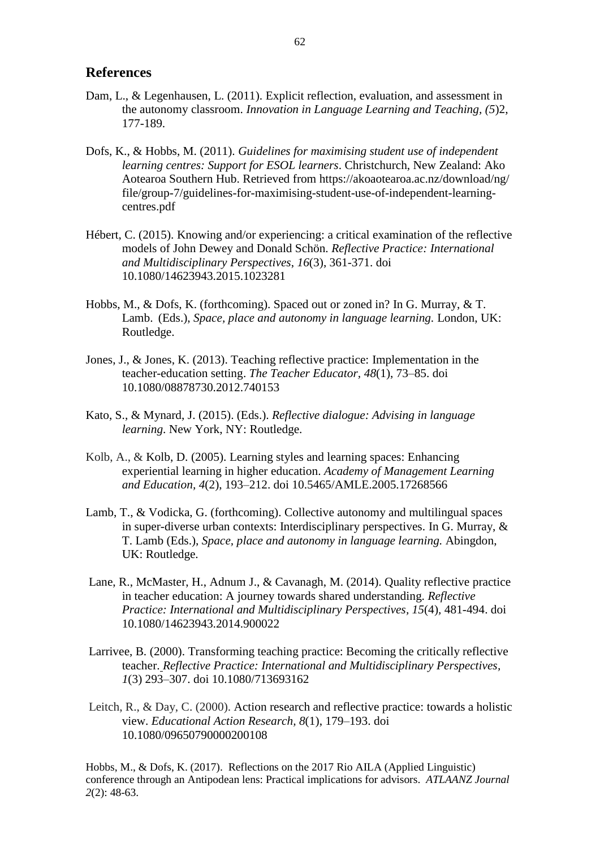## **References**

- Dam, L., & Legenhausen, L. (2011). [Explicit reflection, evaluation, and assessment in](http://www.tandfonline.com/doi/full/10.1080/17501229.2011.577533)  [the autonomy classroom.](http://www.tandfonline.com/doi/full/10.1080/17501229.2011.577533) *[Innovation in Language Learning and Teaching,](http://www.tandfonline.com/toc/rill20/5/2) (5*)2, 177-189.
- Dofs, K., & Hobbs, M. (2011). *Guidelines for maximising student use of independent learning centres: Support for ESOL learners*. Christchurch, New Zealand: Ako Aotearoa Southern Hub. Retrieved from [https://akoaotearoa.ac.nz/download/ng/](https://akoaotearoa.ac.nz/download/ng/file/group-7/guidelines-for-maximising-student-use-of-independent-learning-centres.pdf) [file/group-7/guidelines-for-maximising-student-use-of-independent-learning](https://akoaotearoa.ac.nz/download/ng/file/group-7/guidelines-for-maximising-student-use-of-independent-learning-centres.pdf)[centres.pdf](https://akoaotearoa.ac.nz/download/ng/file/group-7/guidelines-for-maximising-student-use-of-independent-learning-centres.pdf)
- Hébert, C. (2015). Knowing and/or experiencing: a critical examination of the reflective models of John Dewey and Donald Schön. *Reflective Practice: International and Multidisciplinary Perspectives*, *16*(3), 361-371. doi 10.1080/14623943.2015.1023281
- Hobbs, M., & Dofs, K. (forthcoming). Spaced out or zoned in? In G. Murray, & T. Lamb. (Eds.), *Space, place and autonomy in language learning.* London, UK: Routledge.
- Jones, J., & Jones, K. (2013). [Teaching reflective practice: Implementation in the](https://dx.doi.org/10.1080/08878730.2012.740153)  [teacher-education setting.](https://dx.doi.org/10.1080/08878730.2012.740153) *The Teacher Educator, 48*(1), 73–85. [doi](https://en.wikipedia.org/wiki/Digital_object_identifier) [10.1080/08878730.2012.740153](https://doi.org/10.1080%2F08878730.2012.740153)
- Kato, S., & Mynard, J. (2015). (Eds.). *Reflective dialogue: Advising in language learning*. New York, NY: Routledge.
- Kolb, A., & [Kolb, D.](https://en.wikipedia.org/wiki/David_A._Kolb) (2005). Learning styles and learning spaces: Enhancing experiential learning in higher education. *[Academy of Management Learning](https://en.wikipedia.org/wiki/Academy_of_Management_Learning_and_Education)  [and Education,](https://en.wikipedia.org/wiki/Academy_of_Management_Learning_and_Education) 4*(2), 193–212. [doi](https://en.wikipedia.org/wiki/Digital_object_identifier) [10.5465/AMLE.2005.17268566](https://doi.org/10.5465%2FAMLE.2005.17268566)
- Lamb, T., & Vodicka, G. (forthcoming). Collective autonomy and multilingual spaces in super-diverse urban contexts: Interdisciplinary perspectives. In G. Murray, & T. Lamb (Eds.), *Space, place and autonomy in language learning.* Abingdon, UK: Routledge.
- Lane, R., McMaster, H., Adnum J., & Cavanagh, M. (2014). Quality reflective practice in teacher education: A journey towards shared understanding. *Reflective Practice: International and Multidisciplinary Perspectives, 15*(4)*,* 481-494. doi 10.1080/14623943.2014.900022
- Larrivee, B. (2000). Transforming teaching practice: Becoming the critically reflective teacher. *Reflective Practice: International and Multidisciplinary Perspectives, 1*(3) 293–307. [doi](https://en.wikipedia.org/wiki/Digital_object_identifier) [10.1080/713693162](https://doi.org/10.1080%2F713693162)
- Leitch, R., & Day, C. (2000). Action research and reflective practice: towards a holistic view. *Educational Action Research, 8*(1), 179–193. [doi](https://en.wikipedia.org/wiki/Digital_object_identifier) [10.1080/09650790000200108](https://doi.org/10.1080%2F09650790000200108)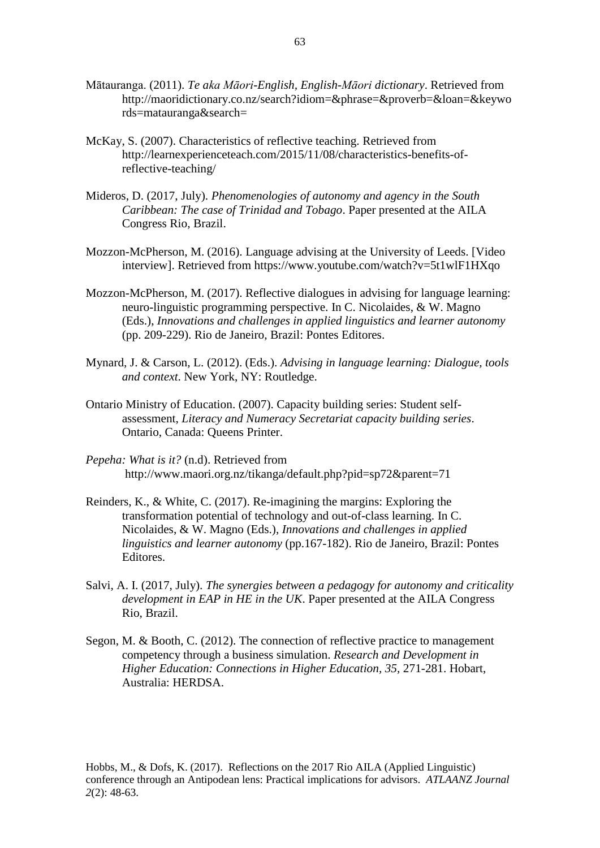- Mātauranga. (2011). *Te aka Māori-English, English-Māori dictionary*. Retrieved from [http://maoridictionary.co.nz/search?idiom=&phrase=&proverb=&loan=&keywo](http://maoridictionary.co.nz/search?idiom=&phrase=&proverb=&loan=&keywords=matauranga&search) [rds=matauranga&search=](http://maoridictionary.co.nz/search?idiom=&phrase=&proverb=&loan=&keywords=matauranga&search)
- McKay, S. (2007). Characteristics of reflective teaching. Retrieved from [http://learnexperienceteach.com/2015/11/08/characteristics-benefits-of](http://learnexperienceteach.com/2015/11/08/characteristics-benefits-of-reflective-teaching/)[reflective-teaching/](http://learnexperienceteach.com/2015/11/08/characteristics-benefits-of-reflective-teaching/)
- Mideros, D. (2017, July). *Phenomenologies of autonomy and agency in the South Caribbean: The case of Trinidad and Tobago*. Paper presented at the AILA Congress Rio, Brazil.
- Mozzon-McPherson, M. (2016). Language advising at the University of Leeds. [Video interview]. Retrieved from <https://www.youtube.com/watch?v=5t1wlF1HXqo>
- Mozzon-McPherson, M. (2017). Reflective dialogues in advising for language learning: neuro-linguistic programming perspective. In C. Nicolaides, & W. Magno (Eds.), *Innovations and challenges in applied linguistics and learner autonomy* (pp. 209-229). Rio de Janeiro, Brazil: Pontes Editores.
- Mynard, J. & Carson, L. (2012). (Eds.). *Advising in language learning: Dialogue, tools and context*. New York, NY: Routledge.
- Ontario Ministry of Education. (2007). Capacity building series: Student selfassessment, *Literacy and Numeracy Secretariat capacity building series*. Ontario, Canada: Queens Printer.
- *Pepeha: What is it?* (n.d). Retrieved from <http://www.maori.org.nz/tikanga/default.php?pid=sp72&parent=71>
- Reinders, K., & White, C. (2017). Re-imagining the margins: Exploring the transformation potential of technology and out-of-class learning. In C. Nicolaides, & W. Magno (Eds.), *Innovations and challenges in applied linguistics and learner autonomy* (pp.167-182). Rio de Janeiro, Brazil: Pontes Editores.
- Salvi, A. I. (2017, July). *The synergies between a pedagogy for autonomy and criticality development in EAP in HE in the UK*. Paper presented at the AILA Congress Rio, Brazil.
- Segon, M. & Booth, C. (2012). The connection of reflective practice to management competency through a business simulation. *Research and Development in Higher Education: Connections in Higher Education, 35,* 271-281. Hobart, Australia: HERDSA.